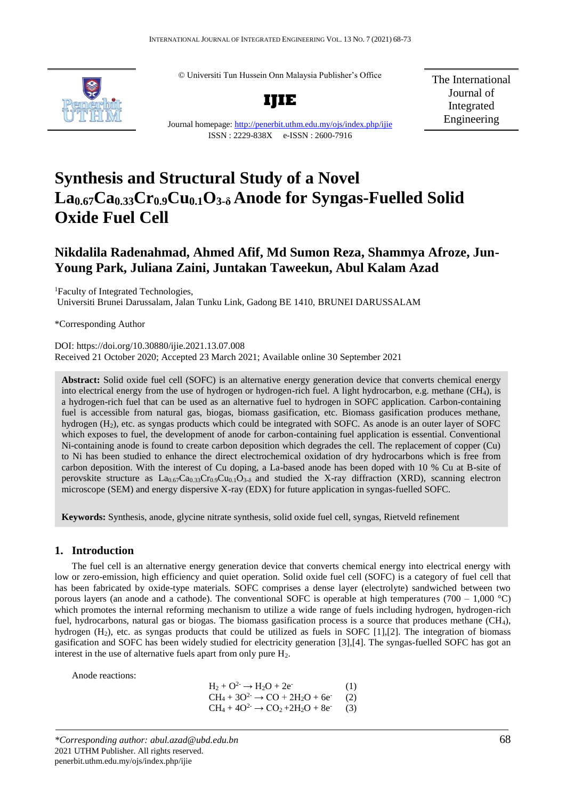© Universiti Tun Hussein Onn Malaysia Publisher's Office



**IJIE**

Journal homepage:<http://penerbit.uthm.edu.my/ojs/index.php/ijie>

ISSN : 2229-838X e-ISSN : 2600-7916

The International Journal of Integrated Engineering

# **Synthesis and Structural Study of a Novel La0.67Ca0.33Cr0.9Cu0.1O3-δ Anode for Syngas-Fuelled Solid Oxide Fuel Cell**

# **Nikdalila Radenahmad, Ahmed Afif, Md Sumon Reza, Shammya Afroze, Jun-Young Park, Juliana Zaini, Juntakan Taweekun, Abul Kalam Azad**

<sup>1</sup>Faculty of Integrated Technologies. Universiti Brunei Darussalam, Jalan Tunku Link, Gadong BE 1410, BRUNEI DARUSSALAM

\*Corresponding Author

DOI: https://doi.org/10.30880/ijie.2021.13.07.008 Received 21 October 2020; Accepted 23 March 2021; Available online 30 September 2021

**Abstract:** Solid oxide fuel cell (SOFC) is an alternative energy generation device that converts chemical energy into electrical energy from the use of hydrogen or hydrogen-rich fuel. A light hydrocarbon, e.g. methane (CH4), is a hydrogen-rich fuel that can be used as an alternative fuel to hydrogen in SOFC application. Carbon-containing fuel is accessible from natural gas, biogas, biomass gasification, etc. Biomass gasification produces methane, hydrogen (H2), etc. as syngas products which could be integrated with SOFC. As anode is an outer layer of SOFC which exposes to fuel, the development of anode for carbon-containing fuel application is essential. Conventional Ni-containing anode is found to create carbon deposition which degrades the cell. The replacement of copper (Cu) to Ni has been studied to enhance the direct electrochemical oxidation of dry hydrocarbons which is free from carbon deposition. With the interest of Cu doping, a La-based anode has been doped with 10 % Cu at B-site of perovskite structure as  $La_{0.67}Ca_{0.33}Cr_{0.9}Cu_{0.1}O_{3.5}$  and studied the X-ray diffraction (XRD), scanning electron microscope (SEM) and energy dispersive X-ray (EDX) for future application in syngas-fuelled SOFC.

**Keywords:** Synthesis, anode, glycine nitrate synthesis, solid oxide fuel cell, syngas, Rietveld refinement

# **1. Introduction**

The fuel cell is an alternative energy generation device that converts chemical energy into electrical energy with low or zero-emission, high efficiency and quiet operation. Solid oxide fuel cell (SOFC) is a category of fuel cell that has been fabricated by oxide-type materials. SOFC comprises a dense layer (electrolyte) sandwiched between two porous layers (an anode and a cathode). The conventional SOFC is operable at high temperatures (700 – 1,000 °C) which promotes the internal reforming mechanism to utilize a wide range of fuels including hydrogen, hydrogen-rich fuel, hydrocarbons, natural gas or biogas. The biomass gasification process is a source that produces methane (CH4), hydrogen  $(H<sub>2</sub>)$ , etc. as syngas products that could be utilized as fuels in SOFC [1], [2]. The integration of biomass gasification and SOFC has been widely studied for electricity generation [3],[4]. The syngas-fuelled SOFC has got an interest in the use of alternative fuels apart from only pure  $H_2$ .

Anode reactions:

 $H_2 + O^{2-} \rightarrow H_2O + 2e^{-}$ (1)  $CH_4 + 3O^2$   $\rightarrow$  CO + 2H<sub>2</sub>O + 6e<sup>-</sup> (2)  $CH_4 + 4O^2 \rightarrow CO_2 + 2H_2O + 8e^-$ (3)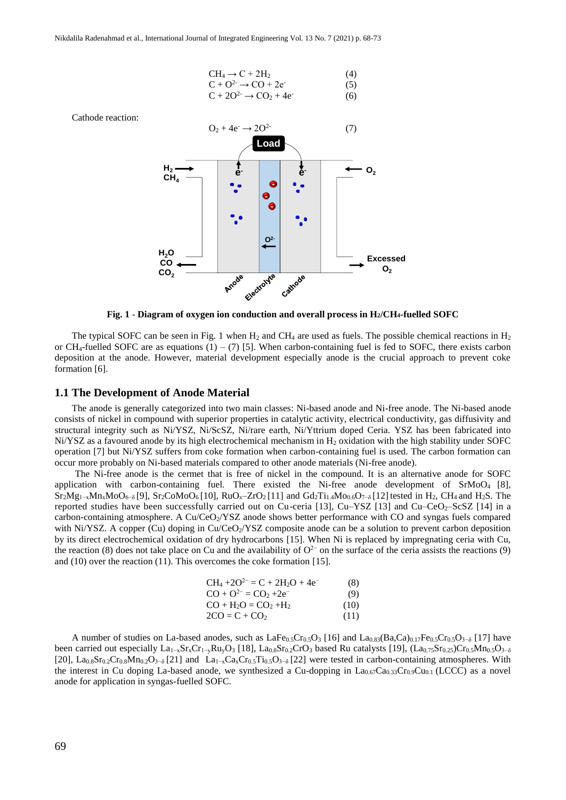$$
CH4 \rightarrow C + 2H2 \qquad (4)
$$
  
\n
$$
C + O2 \rightarrow CO + 2e
$$
  
\n
$$
C + 2O2 \rightarrow CO2 + 4e
$$
  
\n(5)

Cathode reaction:



**Fig. 1** - **Diagram of oxygen ion conduction and overall process in H2/CH4-fuelled SOFC** 

The typical SOFC can be seen in Fig. 1 when  $H_2$  and CH<sub>4</sub> are used as fuels. The possible chemical reactions in  $H_2$ or CH<sub>4</sub>-fuelled SOFC are as equations  $(1) - (7)$  [5]. When carbon-containing fuel is fed to SOFC, there exists carbon deposition at the anode. However, material development especially anode is the crucial approach to prevent coke formation [6].

#### **1.1 The Development of Anode Material**

The anode is generally categorized into two main classes: Ni-based anode and Ni-free anode. The Ni-based anode consists of nickel in compound with superior properties in catalytic activity, electrical conductivity, gas diffusivity and structural integrity such as Ni/YSZ, Ni/ScSZ, Ni/rare earth, Ni/Yttrium doped Ceria. YSZ has been fabricated into Ni/YSZ as a favoured anode by its high electrochemical mechanism in H<sup>2</sup> oxidation with the high stability under SOFC operation [7] but Ni/YSZ suffers from coke formation when carbon-containing fuel is used. The carbon formation can occur more probably on Ni-based materials compared to other anode materials (Ni-free anode).

The Ni-free anode is the cermet that is free of nickel in the compound. It is an alternative anode for SOFC application with carbon-containing fuel. There existed the Ni-free anode development of  $SrMoO<sub>4</sub>$  [8],  $Sr_2Mg_{1-x}Mn_xMoO_{6-6}$  [9],  $Sr_2COM_0O_6$  [10],  $RuO_x-ZrO_2$  [11] and  $Gd_2Ti_{1.4}Mo_{0.6}O_{7-6}$  [12] tested in H<sub>2</sub>, CH<sub>4</sub> and H<sub>2</sub>S. The reported studies have been successfully carried out on Cu-ceria [13], Cu–YSZ [13] and Cu–CeO $\sim$ ScSZ [14] in a carbon-containing atmosphere. A Cu/CeO<sub>2</sub>/YSZ anode shows better performance with CO and syngas fuels compared with Ni/YSZ. A copper (Cu) doping in  $Cu/CeO<sub>2</sub>/YZZ$  composite anode can be a solution to prevent carbon deposition by its direct electrochemical oxidation of dry hydrocarbons [15]. When Ni is replaced by impregnating ceria with Cu, the reaction (8) does not take place on Cu and the availability of  $O<sup>2−</sup>$  on the surface of the ceria assists the reactions (9) and (10) over the reaction (11). This overcomes the coke formation [15].

| $CH_4 + 2O^{2-} = C + 2H_2O + 4e^{-}$ | (8)  |
|---------------------------------------|------|
| $CO + O^{2-} = CO_2 + 2e^{-}$         | (9)  |
| $CO + H2O = CO2 + H2$                 | (10) |
| $2CO = C + CO2$                       | (11) |

A number of studies on La-based anodes, such as LaFe<sub>0.5</sub>Cr<sub>0.5</sub>O<sub>3</sub> [16] and La<sub>0.83</sub>(Ba,Ca)<sub>0.17</sub>Fe<sub>0.5</sub>Cr<sub>0.5</sub>O<sub>3</sub>-<sub>δ</sub> [17] have been carried out especially La<sub>1-x</sub>Sr<sub>x</sub>Cr<sub>1-y</sub>Ru<sub>y</sub>O<sub>3</sub> [18], La<sub>0.8</sub>Sr<sub>0.2</sub>CrO<sub>3</sub> based Ru catalysts [19], (La<sub>0.75</sub>Sr<sub>0.25</sub>)Cr<sub>0.5</sub>Mn<sub>0.5</sub>O<sub>3-δ</sub> [20], La<sub>0.8</sub>Sr<sub>0.2</sub>Cr<sub>0.8</sub>Mn<sub>0.2</sub>O<sub>3</sub>-<sub>δ</sub> [21] and La<sub>1-x</sub>Ca<sub>x</sub>Cr<sub>0.5</sub>Ti<sub>0.5</sub>O<sub>3</sub>-<sub>δ</sub> [22] were tested in carbon-containing atmospheres. With the interest in Cu doping La-based anode, we synthesized a Cu-dopping in  $La_{0.67}Ca_{0.33}Cr_{0.9}Cu_{0.1}$  (LCCC) as a novel anode for application in syngas-fuelled SOFC.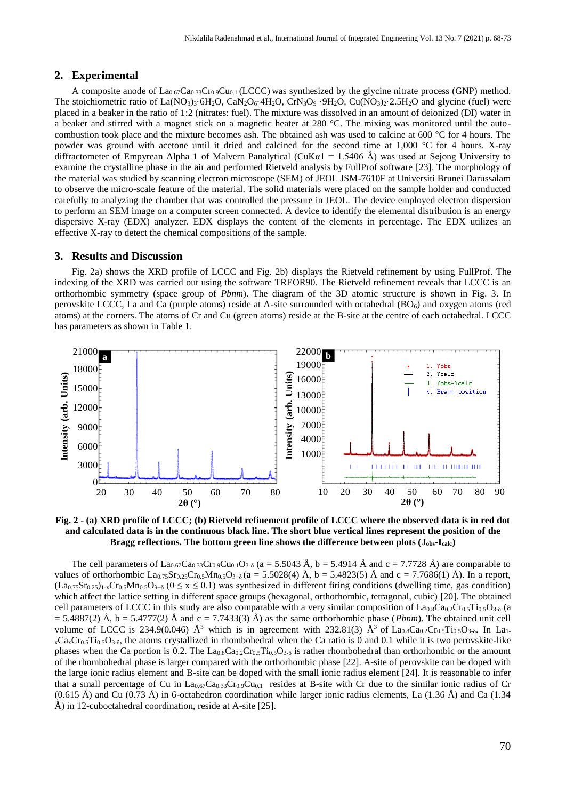#### **2. Experimental**

A composite anode of  $La_{0.67}Ca_{0.33}Cr_{0.9}Cu_{0.1}$  (LCCC) was synthesized by the glycine nitrate process (GNP) method. The stoichiometric ratio of  $La(NO_3)_3·6H_2O$ ,  $CaN_2O_6·4H_2O$ ,  $CrN_3O_9·9H_2O$ ,  $Cu(NO_3)_2·2.5H_2O$  and glycine (fuel) were placed in a beaker in the ratio of 1:2 (nitrates: fuel). The mixture was dissolved in an amount of deionized (DI) water in a beaker and stirred with a magnet stick on a magnetic heater at 280 °C. The mixing was monitored until the autocombustion took place and the mixture becomes ash. The obtained ash was used to calcine at 600 °C for 4 hours. The powder was ground with acetone until it dried and calcined for the second time at 1,000 °C for 4 hours. X-ray diffractometer of Empyrean Alpha 1 of Malvern Panalytical (CuK $\alpha$ 1 = 1.5406 Å) was used at Sejong University to examine the crystalline phase in the air and performed Rietveld analysis by FullProf software [23]. The morphology of the material was studied by scanning electron microscope (SEM) of JEOL JSM-7610F at Universiti Brunei Darussalam to observe the micro-scale feature of the material. The solid materials were placed on the sample holder and conducted carefully to analyzing the chamber that was controlled the pressure in JEOL. The device employed electron dispersion to perform an SEM image on a computer screen connected. A device to identify the elemental distribution is an energy dispersive X-ray (EDX) analyzer. EDX displays the content of the elements in percentage. The EDX utilizes an effective X-ray to detect the chemical compositions of the sample.

#### **3. Results and Discussion**

Fig. 2a) shows the XRD profile of LCCC and Fig. 2b) displays the Rietveld refinement by using FullProf. The indexing of the XRD was carried out using the software TREOR90. The Rietveld refinement reveals that LCCC is an orthorhombic symmetry (space group of *Pbnm*). The diagram of the 3D atomic structure is shown in Fig. 3. In perovskite LCCC, La and Ca (purple atoms) reside at A-site surrounded with octahedral  $(BO_6)$  and oxygen atoms (red atoms) at the corners. The atoms of Cr and Cu (green atoms) reside at the B-site at the centre of each octahedral. LCCC has parameters as shown in Table 1.



**Fig. 2 - (a) XRD profile of LCCC; (b) Rietveld refinement profile of LCCC where the observed data is in red dot and calculated data is in the continuous black line. The short blue vertical lines represent the position of the Bragg reflections. The bottom green line shows the difference between plots (Jobs-Icalc)**

The cell parameters of  $La_{0.67}Ca_{0.33}Cr_{0.9}Cu_{0.1}O_{3.5}$  (a = 5.5043 Å, b = 5.4914 Å and c = 7.7728 Å) are comparable to values of orthorhombic La<sub>0.75</sub>Sr<sub>0.25</sub>Cr<sub>0.5</sub>Mn<sub>0.5</sub>O<sub>3</sub>-<sub>δ</sub> (a = 5.5028(4) Å, b = 5.4823(5) Å and c = 7.7686(1) Å). In a report,  $(L_{a_0.75}Sr_{0.25})_{1-x}Cr_{0.5}Mn_{0.5}O_{3-\delta}$   $(0 \le x \le 0.1)$  was synthesized in different firing conditions (dwelling time, gas condition) which affect the lattice setting in different space groups (hexagonal, orthorhombic, tetragonal, cubic) [20]. The obtained cell parameters of LCCC in this study are also comparable with a very similar composition of  $La_{0.8}Ca_{0.2}Cr_{0.5}Ti_{0.5}O_{3.5}$  (a  $= 5.4887(2)$  Å, b  $= 5.4777(2)$  Å and c  $= 7.7433(3)$  Å) as the same orthorhombic phase (*Pbnm*). The obtained unit cell volume of LCCC is 234.9(0.046)  $\AA^3$  which is in agreement with 232.81(3)  $\AA^3$  of La<sub>0.8</sub>Ca<sub>0.2</sub>Cr<sub>0.5</sub>Ti<sub>0.5</sub>O<sub>3-δ</sub>. In La<sub>1-</sub>  $x$ Ca $x$ Cr<sub>0.5</sub>Ti<sub>0.5</sub>O<sub>3-δ</sub>, the atoms crystallized in rhombohedral when the Ca ratio is 0 and 0.1 while it is two perovskite-like phases when the Ca portion is 0.2. The  $La_{0.8}Ca_{0.2}Cr_{0.5}Ti_{0.5}O_{3.5}$  is rather rhombohedral than orthorhombic or the amount of the rhombohedral phase is larger compared with the orthorhombic phase [22]. A-site of perovskite can be doped with the large ionic radius element and B-site can be doped with the small ionic radius element [24]. It is reasonable to infer that a small percentage of Cu in  $La_{0.67}Ca_{0.33}Cr_{0.9}Cu_{0.1}$  resides at B-site with Cr due to the similar ionic radius of Cr  $(0.615 \text{ Å})$  and Cu  $(0.73 \text{ Å})$  in 6-octahedron coordination while larger ionic radius elements, La  $(1.36 \text{ Å})$  and Ca  $(1.34 \text{ A})$ Å) in 12-cuboctahedral coordination, reside at A-site [25].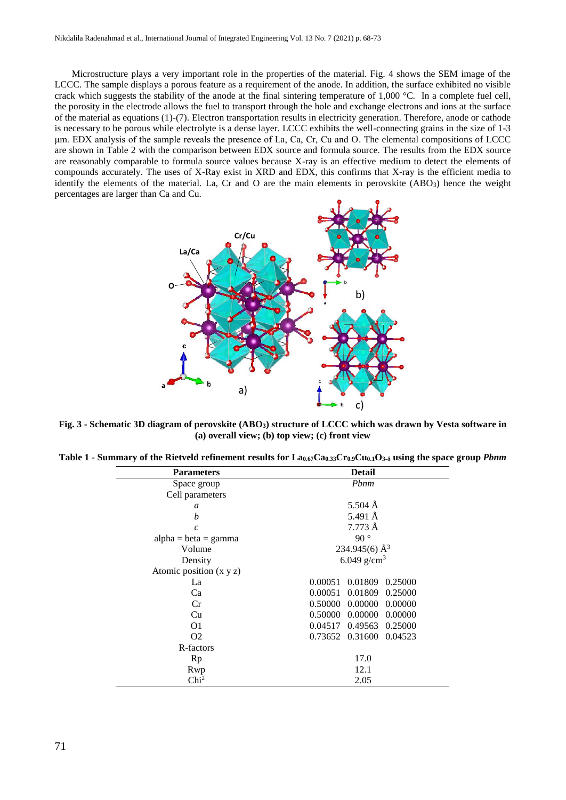Microstructure plays a very important role in the properties of the material. Fig. 4 shows the SEM image of the LCCC. The sample displays a porous feature as a requirement of the anode. In addition, the surface exhibited no visible crack which suggests the stability of the anode at the final sintering temperature of  $1,000 \degree C$ . In a complete fuel cell, the porosity in the electrode allows the fuel to transport through the hole and exchange electrons and ions at the surface of the material as equations (1)-(7). Electron transportation results in electricity generation. Therefore, anode or cathode is necessary to be porous while electrolyte is a dense layer. LCCC exhibits the well-connecting grains in the size of 1-3 μm. EDX analysis of the sample reveals the presence of La, Ca, Cr, Cu and O. The elemental compositions of LCCC are shown in Table 2 with the comparison between EDX source and formula source. The results from the EDX source are reasonably comparable to formula source values because X-ray is an effective medium to detect the elements of compounds accurately. The uses of X-Ray exist in XRD and EDX, this confirms that X-ray is the efficient media to identify the elements of the material. La, Cr and O are the main elements in perovskite  $(ABO<sub>3</sub>)$  hence the weight percentages are larger than Ca and Cu.



**Fig. 3 - Schematic 3D diagram of perovskite (ABO3) structure of LCCC which was drawn by Vesta software in (a) overall view; (b) top view; (c) front view**

| Table 1 - Summary of the Rietveld refinement results for La <sub>0.67</sub> Ca <sub>0.33</sub> Cr <sub>0.9</sub> Cu <sub>0.1</sub> O <sub>3-6</sub> using the space group <i>Pbnm</i> |  |  |  |  |  |  |  |  |  |  |  |
|---------------------------------------------------------------------------------------------------------------------------------------------------------------------------------------|--|--|--|--|--|--|--|--|--|--|--|
|---------------------------------------------------------------------------------------------------------------------------------------------------------------------------------------|--|--|--|--|--|--|--|--|--|--|--|

| <b>Parameters</b>             | <b>Detail</b>                 |  |  |
|-------------------------------|-------------------------------|--|--|
| Space group                   | Pbnm                          |  |  |
| Cell parameters               |                               |  |  |
| a                             | $5.504 \text{ Å}$             |  |  |
| h                             | 5.491 Å                       |  |  |
| $\mathcal{C}$                 | 7.773 Å                       |  |  |
| $alpha = beta = gamma$        | 90°                           |  |  |
| Volume                        | 234.945(6) $\AA^3$            |  |  |
| Density                       | 6.049 $g/cm^{3}$              |  |  |
| Atomic position $(x \ y \ z)$ |                               |  |  |
| La                            | 0.00051<br>0.01809<br>0.25000 |  |  |
| Ca                            | 0.00051<br>0.01809<br>0.25000 |  |  |
| Cr                            | 0.00000<br>0.50000<br>0.00000 |  |  |
| Cu                            | 0.00000<br>0.50000<br>0.00000 |  |  |
| O1                            | 0.49563<br>0.04517<br>0.25000 |  |  |
| O <sub>2</sub>                | 0.73652 0.31600<br>0.04523    |  |  |
| R-factors                     |                               |  |  |
| Rp                            | 17.0                          |  |  |
| Rwp                           | 12.1                          |  |  |
| Chi <sup>2</sup>              | 2.05                          |  |  |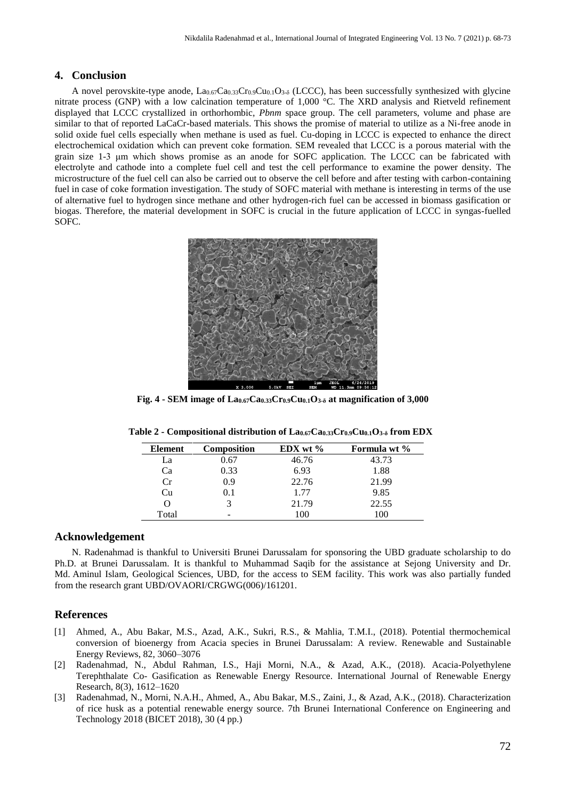# **4. Conclusion**

A novel perovskite-type anode,  $La_{0.67}Ca_{0.33}Cr_{0.9}Cu_{0.1}O_{3.5}$  (LCCC), has been successfully synthesized with glycine nitrate process (GNP) with a low calcination temperature of 1,000 °C. The XRD analysis and Rietveld refinement displayed that LCCC crystallized in orthorhombic, *Pbnm* space group. The cell parameters, volume and phase are similar to that of reported LaCaCr-based materials. This shows the promise of material to utilize as a Ni-free anode in solid oxide fuel cells especially when methane is used as fuel. Cu-doping in LCCC is expected to enhance the direct electrochemical oxidation which can prevent coke formation. SEM revealed that LCCC is a porous material with the grain size 1-3 μm which shows promise as an anode for SOFC application. The LCCC can be fabricated with electrolyte and cathode into a complete fuel cell and test the cell performance to examine the power density. The microstructure of the fuel cell can also be carried out to observe the cell before and after testing with carbon-containing fuel in case of coke formation investigation. The study of SOFC material with methane is interesting in terms of the use of alternative fuel to hydrogen since methane and other hydrogen-rich fuel can be accessed in biomass gasification or biogas. Therefore, the material development in SOFC is crucial in the future application of LCCC in syngas-fuelled SOFC.



**Fig. 4 - SEM image of La0.67Ca0.33Cr0.9Cu0.1O3-δ at magnification of 3,000**

| Formula wt % |
|--------------|
|              |
|              |
|              |
|              |
|              |
|              |
|              |

| Table 2 - Compositional distribution of La0.67Ca0.33Cr0.9Cu0.1O3-8 from EDX |  |  |  |
|-----------------------------------------------------------------------------|--|--|--|
|-----------------------------------------------------------------------------|--|--|--|

## **Acknowledgement**

N. Radenahmad is thankful to Universiti Brunei Darussalam for sponsoring the UBD graduate scholarship to do Ph.D. at Brunei Darussalam. It is thankful to Muhammad Saqib for the assistance at Sejong University and Dr. Md. Aminul Islam*,* Geological Sciences, UBD, for the access to SEM facility*.* This work was also partially funded from the research grant UBD/OVAORI/CRGWG(006)/161201.

#### **References**

- [1] Ahmed, A., Abu Bakar, M.S., Azad, A.K., Sukri, R.S., & Mahlia, T.M.I., (2018). Potential thermochemical conversion of bioenergy from Acacia species in Brunei Darussalam: A review. Renewable and Sustainable Energy Reviews, 82, 3060–3076
- [2] Radenahmad, N., Abdul Rahman, I.S., Haji Morni, N.A., & Azad, A.K., (2018). Acacia-Polyethylene Terephthalate Co- Gasification as Renewable Energy Resource. International Journal of Renewable Energy Research, 8(3), 1612–1620
- [3] Radenahmad, N., Morni, N.A.H., Ahmed, A., Abu Bakar, M.S., Zaini, J., & Azad, A.K., (2018). Characterization of rice husk as a potential renewable energy source. 7th Brunei International Conference on Engineering and Technology 2018 (BICET 2018), 30 (4 pp.)